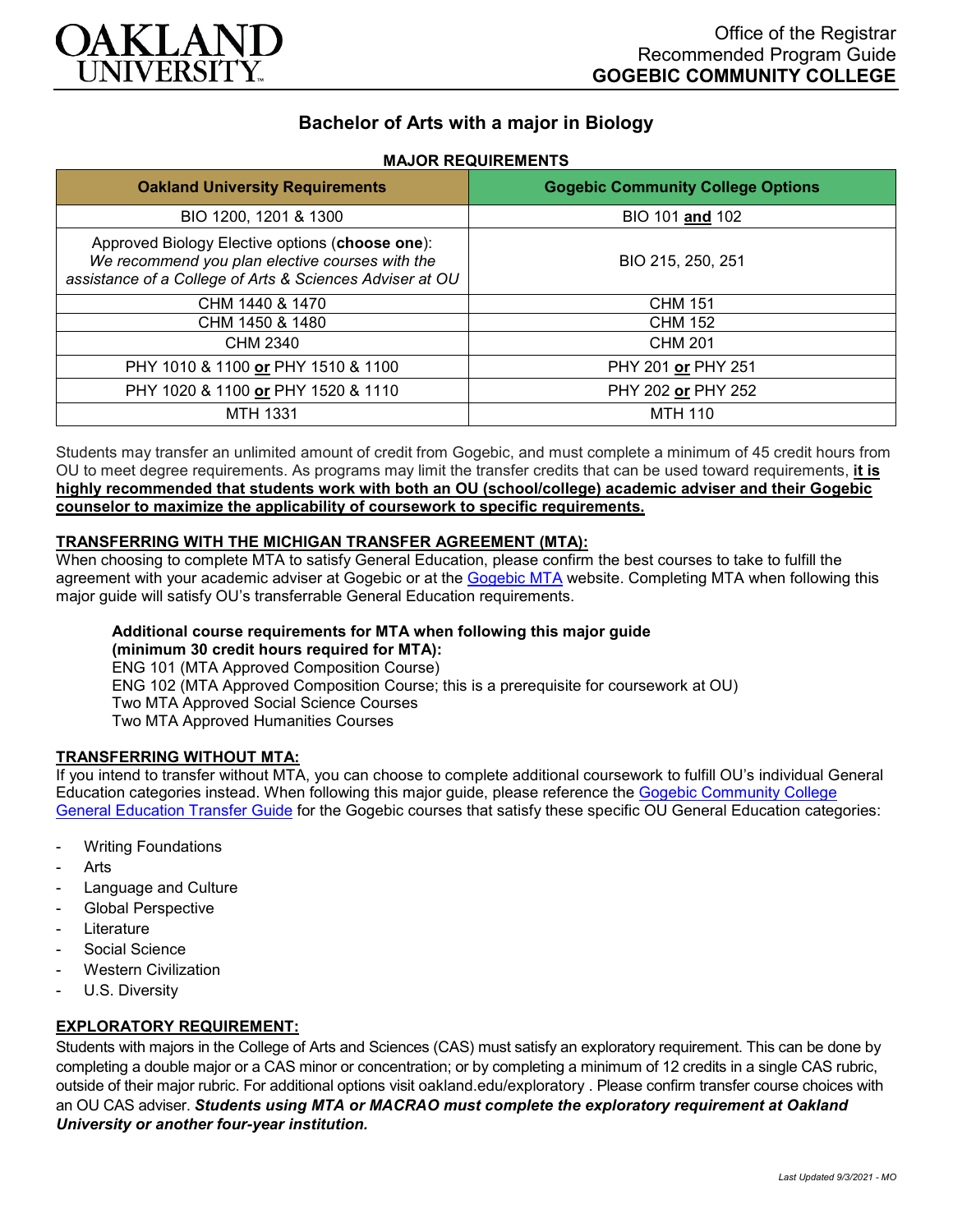

# **Bachelor of Arts with a major in Biology**

### **MAJOR REQUIREMENTS**

| <b>Oakland University Requirements</b>                                                                                                                         | <b>Gogebic Community College Options</b> |
|----------------------------------------------------------------------------------------------------------------------------------------------------------------|------------------------------------------|
| BIO 1200, 1201 & 1300                                                                                                                                          | BIO 101 and 102                          |
| Approved Biology Elective options (choose one):<br>We recommend you plan elective courses with the<br>assistance of a College of Arts & Sciences Adviser at OU | BIO 215, 250, 251                        |
| CHM 1440 & 1470                                                                                                                                                | <b>CHM 151</b>                           |
| CHM 1450 & 1480                                                                                                                                                | <b>CHM 152</b>                           |
| CHM 2340                                                                                                                                                       | <b>CHM 201</b>                           |
| PHY 1010 & 1100 or PHY 1510 & 1100                                                                                                                             | PHY 201 or PHY 251                       |
| PHY 1020 & 1100 or PHY 1520 & 1110                                                                                                                             | PHY 202 or PHY 252                       |
| MTH 1331                                                                                                                                                       | <b>MTH 110</b>                           |

Students may transfer an unlimited amount of credit from Gogebic, and must complete a minimum of 45 credit hours from OU to meet degree requirements. As programs may limit the transfer credits that can be used toward requirements, **it is highly recommended that students work with both an OU (school/college) academic adviser and their Gogebic counselor to maximize the applicability of coursework to specific requirements.**

### **TRANSFERRING WITH THE MICHIGAN TRANSFER AGREEMENT (MTA):**

When choosing to complete MTA to satisfy General Education, please confirm the best courses to take to fulfill the agreement with your academic adviser at Gogebic or at the [Gogebic MTA](https://www.gogebic.edu/welcome/studentsupport/_assets/gogebic-courses-that-fulfill-the-mta-requirements.pdf) website. Completing MTA when following this major guide will satisfy OU's transferrable General Education requirements.

# **Additional course requirements for MTA when following this major guide**

**(minimum 30 credit hours required for MTA):**

ENG 101 (MTA Approved Composition Course) ENG 102 (MTA Approved Composition Course; this is a prerequisite for coursework at OU) Two MTA Approved Social Science Courses Two MTA Approved Humanities Courses

### **TRANSFERRING WITHOUT MTA:**

If you intend to transfer without MTA, you can choose to complete additional coursework to fulfill OU's individual General Education categories instead. When following this major guide, please reference the [Gogebic Community College](https://www.oakland.edu/Assets/Oakland/program-guides/gogebic-community-college/university-general-education-requirements/Gogebic%20Gen%20Ed.pdf)  [General Education Transfer Guide](https://www.oakland.edu/Assets/Oakland/program-guides/gogebic-community-college/university-general-education-requirements/Gogebic%20Gen%20Ed.pdf) for the Gogebic courses that satisfy these specific OU General Education categories:

- **Writing Foundations**
- **Arts**
- Language and Culture
- Global Perspective
- **Literature**
- Social Science
- **Western Civilization**
- U.S. Diversity

### **EXPLORATORY REQUIREMENT:**

Students with majors in the College of Arts and Sciences (CAS) must satisfy an exploratory requirement. This can be done by completing a double major or a CAS minor or concentration; or by completing a minimum of 12 credits in a single CAS rubric, outside of their major rubric. For additional options visit [oakland.edu/exploratory](http://www.oakland.edu/exploratory) . Please confirm transfer course choices with an OU CAS adviser. *Students using MTA or MACRAO must complete the exploratory requirement at Oakland University or another four-year institution.*